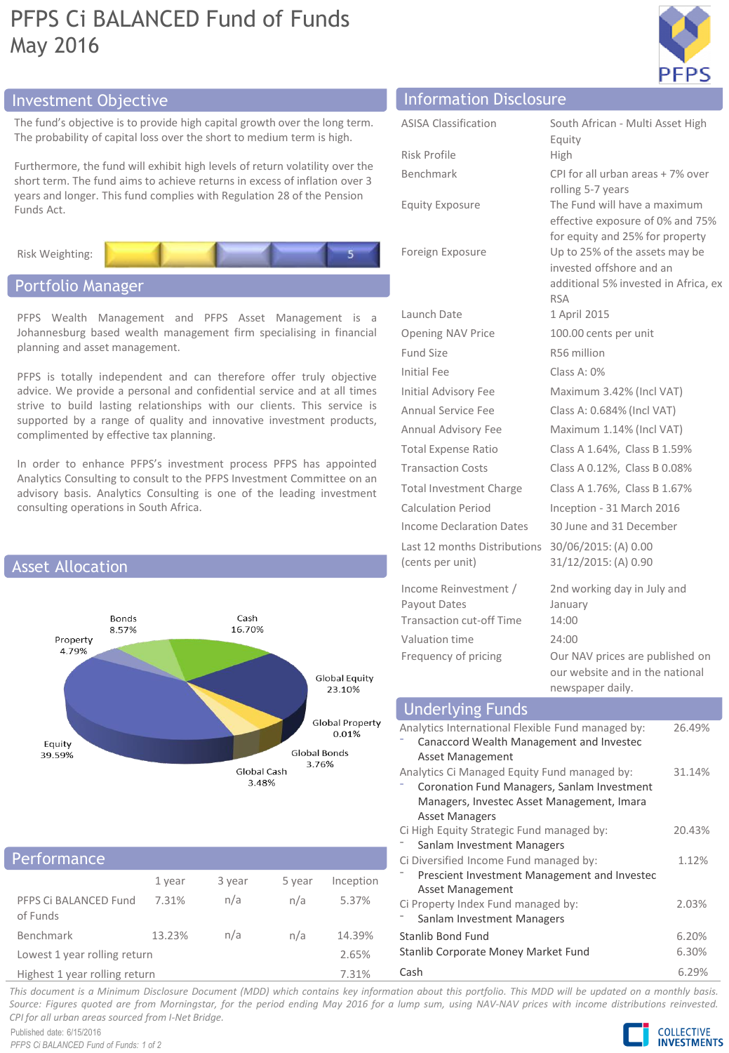# PFPS Ci BALANCED Fund of Funds May 2016



## Investment Objective Information Disclosure

The fund's objective is to provide high capital growth over the long term. The probability of capital loss over the short to medium term is high.

Furthermore, the fund will exhibit high levels of return volatility over the short term. The fund aims to achieve returns in excess of inflation over 3 years and longer. This fund complies with Regulation 28 of the Pension Funds Act.



## Portfolio Manager

PFPS Wealth Management and PFPS Asset Management is a Johannesburg based wealth management firm specialising in financial planning and asset management.

PFPS is totally independent and can therefore offer truly objective advice. We provide a personal and confidential service and at all times strive to build lasting relationships with our clients. This service is supported by a range of quality and innovative investment products, complimented by effective tax planning.

In order to enhance PFPS's investment process PFPS has appointed Analytics Consulting to consult to the PFPS Investment Committee on an advisory basis. Analytics Consulting is one of the leading investment consulting operations in South Africa.



## **Performance**

|                                   | 1 year | 3 year | 5 year | Inception |
|-----------------------------------|--------|--------|--------|-----------|
| PFPS Ci BALANCED Fund<br>of Funds | 7.31%  | n/a    | n/a    | 5.37%     |
| Benchmark                         | 13.23% | n/a    | n/a    | 14.39%    |
| Lowest 1 year rolling return      |        |        |        | 2.65%     |
| Highest 1 year rolling return     |        |        |        | 7.31%     |

| <b>ASISA Classification</b>                      | South African - Multi Asset High                                                                                 |
|--------------------------------------------------|------------------------------------------------------------------------------------------------------------------|
|                                                  | Equity                                                                                                           |
| Risk Profile                                     | High                                                                                                             |
| Benchmark                                        | CPI for all urban areas + 7% over<br>rolling 5-7 years                                                           |
| <b>Equity Exposure</b>                           | The Fund will have a maximum<br>effective exposure of 0% and 75%<br>for equity and 25% for property              |
| Foreign Exposure                                 | Up to 25% of the assets may be<br>invested offshore and an<br>additional 5% invested in Africa, ex<br><b>RSA</b> |
| Launch Date                                      | 1 April 2015                                                                                                     |
| <b>Opening NAV Price</b>                         | 100.00 cents per unit                                                                                            |
| Fund Size                                        | R56 million                                                                                                      |
| Initial Fee                                      | Class A: $0\%$                                                                                                   |
| <b>Initial Advisory Fee</b>                      | Maximum 3.42% (Incl VAT)                                                                                         |
| Annual Service Fee                               | Class A: 0.684% (Incl VAT)                                                                                       |
| Annual Advisory Fee                              | Maximum 1.14% (Incl VAT)                                                                                         |
| <b>Total Expense Ratio</b>                       | Class A 1.64%, Class B 1.59%                                                                                     |
| <b>Transaction Costs</b>                         | Class A 0.12%, Class B 0.08%                                                                                     |
| <b>Total Investment Charge</b>                   | Class A 1.76%, Class B 1.67%                                                                                     |
| <b>Calculation Period</b>                        | Inception - 31 March 2016                                                                                        |
| Income Declaration Dates                         | 30 June and 31 December                                                                                          |
| Last 12 months Distributions<br>(cents per unit) | 30/06/2015: (A) 0.00<br>31/12/2015: (A) 0.90                                                                     |
| Income Reinvestment /                            | 2nd working day in July and                                                                                      |
| Payout Dates                                     | January                                                                                                          |
| <b>Transaction cut-off Time</b>                  | 14:00                                                                                                            |
| Valuation time                                   | 24:00                                                                                                            |
| Frequency of pricing                             | Our NAV prices are published on                                                                                  |

### Underlying Funds

| ______                                            |        |
|---------------------------------------------------|--------|
| Analytics International Flexible Fund managed by: | 26.49% |
| Canaccord Wealth Management and Investec          |        |
| Asset Management                                  |        |
| Analytics Ci Managed Equity Fund managed by:      | 31.14% |
| Coronation Fund Managers, Sanlam Investment       |        |
| Managers, Investec Asset Management, Imara        |        |
| <b>Asset Managers</b>                             |        |
| Ci High Equity Strategic Fund managed by:         | 20.43% |
| Sanlam Investment Managers                        |        |
| Ci Diversified Income Fund managed by:            | 1.12%  |
| Prescient Investment Management and Investec      |        |
| <b>Asset Management</b>                           |        |
| Ci Property Index Fund managed by:                | 2.03%  |
| Sanlam Investment Managers                        |        |
| Stanlib Bond Fund                                 | 6.20%  |
| Stanlib Corporate Money Market Fund               | 6.30%  |
| Cash                                              | 6.29%  |

our website and in the national

newspaper daily.

This document is a Minimum Disclosure Document (MDD) which contains key information about this portfolio. This MDD will be updated on a monthly basis. Source: Figures quoted are from Morningstar, for the period ending May 2016 for a lump sum, using NAV-NAV prices with income distributions reinvested. *CPI for all urban areas sourced from I-Net Bridge.*

Published date: 6/15/2016 *PFPS Ci BALANCED Fund of Funds: 1 of 2*